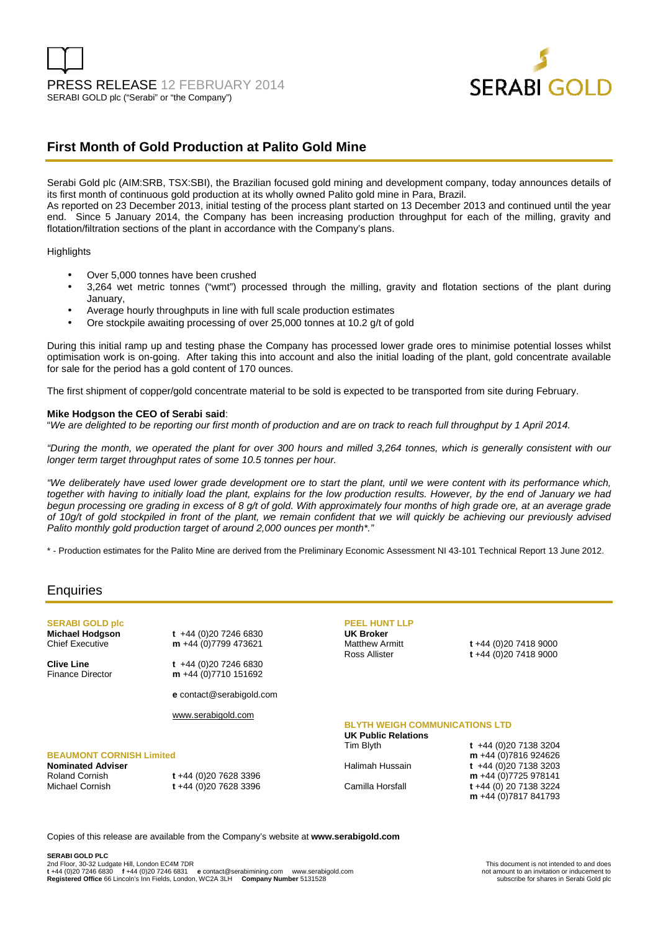

## **First Month of Gold Production at Palito Gold Mine**

Serabi Gold plc (AIM:SRB, TSX:SBI), the Brazilian focused gold mining and development company, today announces details of its first month of continuous gold production at its wholly owned Palito gold mine in Para, Brazil.

As reported on 23 December 2013, initial testing of the process plant started on 13 December 2013 and continued until the year end. Since 5 January 2014, the Company has been increasing production throughput for each of the milling, gravity and flotation/filtration sections of the plant in accordance with the Company's plans.

#### **Highlights**

- Over 5,000 tonnes have been crushed
- 3,264 wet metric tonnes ("wmt") processed through the milling, gravity and flotation sections of the plant during January,
- Average hourly throughputs in line with full scale production estimates
- Ore stockpile awaiting processing of over 25,000 tonnes at 10.2 g/t of gold

During this initial ramp up and testing phase the Company has processed lower grade ores to minimise potential losses whilst optimisation work is on-going. After taking this into account and also the initial loading of the plant, gold concentrate available for sale for the period has a gold content of 170 ounces.

The first shipment of copper/gold concentrate material to be sold is expected to be transported from site during February.

#### **Mike Hodgson the CEO of Serabi said**:

"We are delighted to be reporting our first month of production and are on track to reach full throughput by 1 April 2014.

"During the month, we operated the plant for over 300 hours and milled 3,264 tonnes, which is generally consistent with our longer term target throughput rates of some 10.5 tonnes per hour.

"We deliberately have used lower grade development ore to start the plant, until we were content with its performance which, together with having to initially load the plant, explains for the low production results. However, by the end of January we had begun processing ore grading in excess of 8 g/t of gold. With approximately four months of high grade ore, at an average grade of 10g/t of gold stockpiled in front of the plant, we remain confident that we will quickly be achieving our previously advised Palito monthly gold production target of around 2,000 ounces per month\*."

\* - Production estimates for the Palito Mine are derived from the Preliminary Economic Assessment NI 43-101 Technical Report 13 June 2012.

## **Enquiries**

**SERABI GOLD plc Michael Hodgson t** +44 (0)20 7246 6830<br> **Chief Executive m** +44 (0)7799 473621

**Clive Line t** +44 (0)20 7246 6830

m +44 (0)7799 473621

Finance Director **m** +44 (0)7710 151692

**e** contact@serabigold.com

www.serabigold.com

### **BEAUMONT CORNISH Limited**

**Nominated Adviser** 

Roland Cornish **t** +44 (0)20 7628 3396 Michael Cornish **t** +44 (0)20 7628 3396

# **PEEL HUNT LLP UK Broker**

Matthew Armitt **t** +44 (0)20 7418 9000 Ross Allister **t** +44 (0)20 7418 9000

### **BLYTH WEIGH COMMUNICATIONS LTD**

**UK Public Relations** 

Tim Blyth **t** +44 (0)20 7138 3204 **m** +44 (0)7816 924626 Halimah Hussain **t** +44 (0) 20 7138 3203 **m** +44 (0)7725 978141 Camilla Horsfall **t** +44 (0) 20 7138 3224 **m** +44 (0)7817 841793

Copies of this release are available from the Company's website at **www.serabigold.com** 

**SERABI GOLD PLC**  2nd Floor, 30-32 Ludgate Hill, London EC4M 7DR<br>
1992 1200 1246 6830 16744 (0)20 1246 6831 1798 2011 2012 12:00 12:00 12:00 12:00 12:00 12:00 12:00 12:00 12:0<br>
1992 12:00 12:00 12:00 12:00 12:00 12:00 12:00 12:00 12:00 12:0 **t**<br>**t** +44 (0)20 7246 6831 **e** contact@serabimining.com www.serabigold.com **not amount to an invitation or inducement to**<br>Lincoln's Inn Fields. London. WC2A 3LH **Company Number** 5131528 **Registered Office** 66 Lincoln's Inn Fields, London, WC2A 3LH **Company Number** 5131528